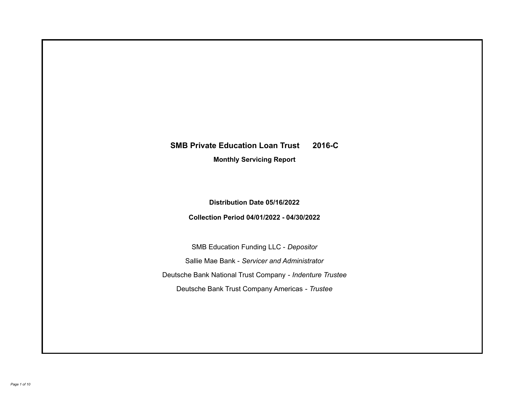# **SMB Private Education Loan Trust 2016-C**

**Monthly Servicing Report**

**Distribution Date 05/16/2022**

**Collection Period 04/01/2022 - 04/30/2022**

SMB Education Funding LLC - *Depositor* Sallie Mae Bank - *Servicer and Administrator* Deutsche Bank National Trust Company - *Indenture Trustee* Deutsche Bank Trust Company Americas - *Trustee*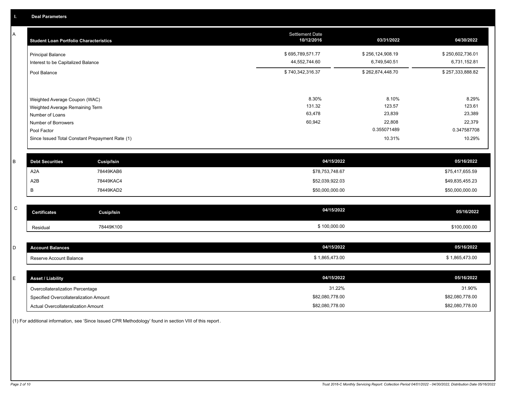A

| A | <b>Student Loan Portfolio Characteristics</b>                  | <b>Settlement Date</b><br>10/12/2016 | 03/31/2022                       | 04/30/2022                       |
|---|----------------------------------------------------------------|--------------------------------------|----------------------------------|----------------------------------|
|   | <b>Principal Balance</b><br>Interest to be Capitalized Balance | \$695,789,571.77<br>44,552,744.60    | \$256,124,908.19<br>6,749,540.51 | \$250,602,736.01<br>6,731,152.81 |
|   | Pool Balance                                                   | \$740,342,316.37                     | \$262,874,448.70                 | \$257,333,888.82                 |
|   | Weighted Average Coupon (WAC)                                  | 8.30%                                | 8.10%                            | 8.29%                            |
|   | Weighted Average Remaining Term<br>Number of Loans             | 131.32<br>63,478                     | 123.57<br>23,839                 | 123.61<br>23,389                 |
|   | Number of Borrowers<br>Pool Factor                             | 60,942                               | 22,808<br>0.355071489            | 22,379<br>0.347587708            |
|   | Since Issued Total Constant Prepayment Rate (1)                |                                      | 10.31%                           | 10.29%                           |
| B | <b>Cusip/Isin</b><br><b>Debt Securities</b>                    |                                      | 04/15/2022                       | 05/16/2022                       |
|   | A <sub>2</sub> A<br>78449KAB6                                  |                                      | \$78,753,748.67                  | \$75,417,655.59                  |

| <b>Debt Securities</b> | <b>Cusip/Isin</b> | <b>04/15/2022</b> | <b>U5/16/2022</b> |
|------------------------|-------------------|-------------------|-------------------|
| A <sub>2</sub> A       | 78449KAB6         | \$78,753,748.67   | \$75,417,655.59   |
| A2B                    | 78449KAC4         | \$52,039,922.03   | \$49,835,455.23   |
| в                      | 78449KAD2         | \$50,000,000.00   | \$50,000,000.00   |
|                        |                   |                   |                   |

| $\sim$<br>◡ | <b>Certificates</b> | Cusip/Isin | 04/15/2022   | 05/16/2022   |
|-------------|---------------------|------------|--------------|--------------|
|             | Residual            | 78449K100  | \$100,000.00 | \$100,000.00 |

| $\sim$<br>◡ | count Balances          | 04/15/2022     | 05/16/2022     |
|-------------|-------------------------|----------------|----------------|
|             | Reserve Account Balance | \$1,865,473.00 | \$1,865,473.00 |

| <b>Asset / Liability</b>               | 04/15/2022      | 05/16/2022      |
|----------------------------------------|-----------------|-----------------|
| Overcollateralization Percentage       | 31.22%          | 31.90%          |
| Specified Overcollateralization Amount | \$82,080,778.00 | \$82,080,778.00 |
| Actual Overcollateralization Amount    | \$82,080,778.00 | \$82,080,778.00 |

(1) For additional information, see 'Since Issued CPR Methodology' found in section VIII of this report .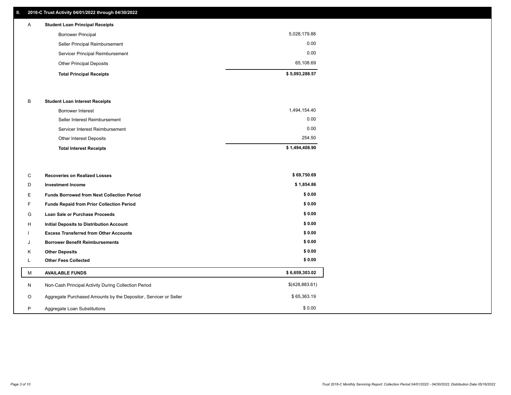## **II. 2016-C Trust Activity 04/01/2022 through 04/30/2022**

| $\mathsf{A}$ | <b>Student Loan Principal Receipts</b> |                |
|--------------|----------------------------------------|----------------|
|              | <b>Borrower Principal</b>              | 5,028,179.88   |
|              | Seller Principal Reimbursement         | 0.00           |
|              | Servicer Principal Reimbursement       | 0.00           |
|              | <b>Other Principal Deposits</b>        | 65,108.69      |
|              | <b>Total Principal Receipts</b>        | \$5,093,288.57 |

#### B **Student Loan Interest Receipts**

| <b>Total Interest Receipts</b>  | \$1,494,408.90 |
|---------------------------------|----------------|
| Other Interest Deposits         | 254.50         |
| Servicer Interest Reimbursement | 0.00           |
| Seller Interest Reimbursement   | 0.00           |
| Borrower Interest               | 1,494,154.40   |

| C       | <b>Recoveries on Realized Losses</b>                             | \$69,750.69    |
|---------|------------------------------------------------------------------|----------------|
| D       | <b>Investment Income</b>                                         | \$1,854.86     |
| Е       | <b>Funds Borrowed from Next Collection Period</b>                | \$0.00         |
| F.      | <b>Funds Repaid from Prior Collection Period</b>                 | \$0.00         |
| G       | Loan Sale or Purchase Proceeds                                   | \$0.00         |
| Н       | Initial Deposits to Distribution Account                         | \$0.00         |
|         | <b>Excess Transferred from Other Accounts</b>                    | \$0.00         |
| J       | <b>Borrower Benefit Reimbursements</b>                           | \$0.00         |
| K       | <b>Other Deposits</b>                                            | \$0.00         |
| ┗       | <b>Other Fees Collected</b>                                      | \$0.00         |
| M       | <b>AVAILABLE FUNDS</b>                                           | \$6,659,303.02 |
| N       | Non-Cash Principal Activity During Collection Period             | \$(428,883.61) |
| $\circ$ | Aggregate Purchased Amounts by the Depositor, Servicer or Seller | \$65,363.19    |
| P       | Aggregate Loan Substitutions                                     | \$0.00         |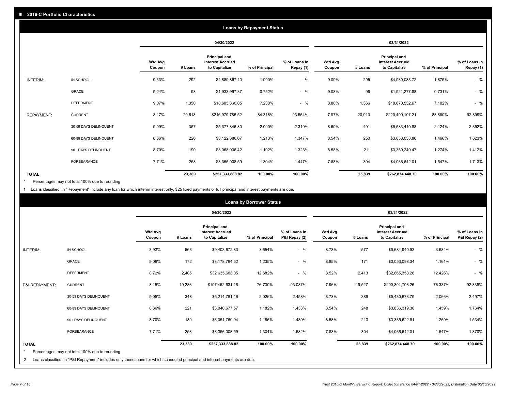|                   |                       |                          |         |                                                                  | <b>Loans by Repayment Status</b> |                            |                          |         |                                                           |                |                            |
|-------------------|-----------------------|--------------------------|---------|------------------------------------------------------------------|----------------------------------|----------------------------|--------------------------|---------|-----------------------------------------------------------|----------------|----------------------------|
|                   |                       |                          |         | 04/30/2022                                                       |                                  |                            |                          |         | 03/31/2022                                                |                |                            |
|                   |                       | <b>Wtd Avg</b><br>Coupon | # Loans | <b>Principal and</b><br><b>Interest Accrued</b><br>to Capitalize | % of Principal                   | % of Loans in<br>Repay (1) | <b>Wtd Avg</b><br>Coupon | # Loans | Principal and<br><b>Interest Accrued</b><br>to Capitalize | % of Principal | % of Loans in<br>Repay (1) |
| INTERIM:          | IN SCHOOL             | 9.33%                    | 292     | \$4,889,867.40                                                   | 1.900%                           | $-$ %                      | 9.09%                    | 295     | \$4,930,083.72                                            | 1.875%         | $-$ %                      |
|                   | GRACE                 | 9.24%                    | 98      | \$1,933,997.37                                                   | 0.752%                           | $-$ %                      | 9.08%                    | 99      | \$1,921,277.88                                            | 0.731%         | $-$ %                      |
|                   | <b>DEFERMENT</b>      | 9.07%                    | 1,350   | \$18,605,660.05                                                  | 7.230%                           | $-$ %                      | 8.88%                    | 1,366   | \$18,670,532.67                                           | 7.102%         | $-$ %                      |
| <b>REPAYMENT:</b> | <b>CURRENT</b>        | 8.17%                    | 20,618  | \$216,979,785.52                                                 | 84.318%                          | 93.564%                    | 7.97%                    | 20,913  | \$220,499,197.21                                          | 83.880%        | 92.899%                    |
|                   | 30-59 DAYS DELINQUENT | 9.09%                    | 357     | \$5,377,846.80                                                   | 2.090%                           | 2.319%                     | 8.69%                    | 401     | \$5,583,440.88                                            | 2.124%         | 2.352%                     |
|                   | 60-89 DAYS DELINQUENT | 8.66%                    | 226     | \$3,122,686.67                                                   | 1.213%                           | 1.347%                     | 8.54%                    | 250     | \$3,853,033.86                                            | 1.466%         | 1.623%                     |
|                   | 90+ DAYS DELINQUENT   | 8.70%                    | 190     | \$3,068,036.42                                                   | 1.192%                           | 1.323%                     | 8.58%                    | 211     | \$3,350,240.47                                            | 1.274%         | 1.412%                     |
|                   | <b>FORBEARANCE</b>    | 7.71%                    | 258     | \$3,356,008.59                                                   | 1.304%                           | 1.447%                     | 7.88%                    | 304     | \$4,066,642.01                                            | 1.547%         | 1.713%                     |
| <b>TOTAL</b>      |                       |                          | 23,389  | \$257,333,888.82                                                 | 100.00%                          | 100.00%                    |                          | 23,839  | \$262,874,448.70                                          | 100.00%        | 100.00%                    |

Percentages may not total 100% due to rounding \*

1 Loans classified in "Repayment" include any loan for which interim interest only, \$25 fixed payments or full principal and interest payments are due.

|                              |                                                                                                                                                                              |                          |         |                                                           | <b>Loans by Borrower Status</b> |                                |                          |         |                                                           |                |                                |
|------------------------------|------------------------------------------------------------------------------------------------------------------------------------------------------------------------------|--------------------------|---------|-----------------------------------------------------------|---------------------------------|--------------------------------|--------------------------|---------|-----------------------------------------------------------|----------------|--------------------------------|
|                              |                                                                                                                                                                              |                          |         | 04/30/2022                                                |                                 |                                | 03/31/2022               |         |                                                           |                |                                |
|                              |                                                                                                                                                                              | <b>Wtd Avg</b><br>Coupon | # Loans | Principal and<br><b>Interest Accrued</b><br>to Capitalize | % of Principal                  | % of Loans in<br>P&I Repay (2) | <b>Wtd Avg</b><br>Coupon | # Loans | Principal and<br><b>Interest Accrued</b><br>to Capitalize | % of Principal | % of Loans in<br>P&I Repay (2) |
| <b>INTERIM:</b>              | IN SCHOOL                                                                                                                                                                    | 8.93%                    | 563     | \$9,403,672.83                                            | 3.654%                          | $-$ %                          | 8.73%                    | 577     | \$9,684,940.93                                            | 3.684%         | $-$ %                          |
|                              | <b>GRACE</b>                                                                                                                                                                 | 9.06%                    | 172     | \$3,178,764.52                                            | 1.235%                          | $-$ %                          | 8.85%                    | 171     | \$3,053,098.34                                            | 1.161%         | $-$ %                          |
|                              | <b>DEFERMENT</b>                                                                                                                                                             | 8.72%                    | 2,405   | \$32,635,603.05                                           | 12.682%                         | $-$ %                          | 8.52%                    | 2,413   | \$32,665,358.26                                           | 12.426%        | $-$ %                          |
| P&I REPAYMENT:               | <b>CURRENT</b>                                                                                                                                                               | 8.15%                    | 19,233  | \$197,452,631.16                                          | 76.730%                         | 93.087%                        | 7.96%                    | 19,527  | \$200,801,793.26                                          | 76.387%        | 92.335%                        |
|                              | 30-59 DAYS DELINQUENT                                                                                                                                                        | 9.05%                    | 348     | \$5,214,761.16                                            | 2.026%                          | 2.458%                         | 8.73%                    | 389     | \$5,430,673.79                                            | 2.066%         | 2.497%                         |
|                              | 60-89 DAYS DELINQUENT                                                                                                                                                        | 8.66%                    | 221     | \$3,040,677.57                                            | 1.182%                          | 1.433%                         | 8.54%                    | 248     | \$3,836,319.30                                            | 1.459%         | 1.764%                         |
|                              | 90+ DAYS DELINQUENT                                                                                                                                                          | 8.70%                    | 189     | \$3,051,769.94                                            | 1.186%                          | 1.439%                         | 8.58%                    | 210     | \$3,335,622.81                                            | 1.269%         | 1.534%                         |
|                              | FORBEARANCE                                                                                                                                                                  | 7.71%                    | 258     | \$3,356,008.59                                            | 1.304%                          | 1.582%                         | 7.88%                    | 304     | \$4,066,642.01                                            | 1.547%         | 1.870%                         |
| <b>TOTAL</b><br>$\star$<br>2 | Percentages may not total 100% due to rounding<br>Loans classified in "P&I Repayment" includes only those loans for which scheduled principal and interest payments are due. |                          | 23,389  | \$257,333,888.82                                          | 100.00%                         | 100.00%                        |                          | 23,839  | \$262,874,448.70                                          | 100.00%        | 100.00%                        |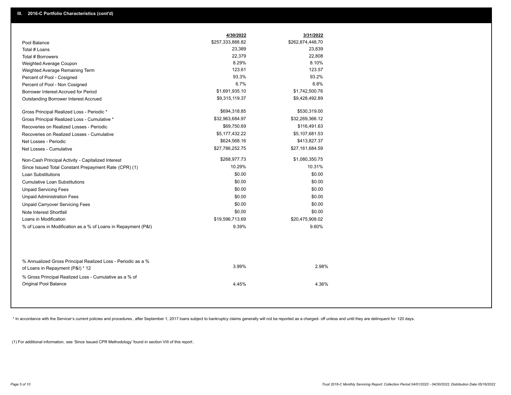|                                                                                                  | 4/30/2022        | 3/31/2022        |
|--------------------------------------------------------------------------------------------------|------------------|------------------|
| Pool Balance                                                                                     | \$257,333,888.82 | \$262,874,448.70 |
| Total # Loans                                                                                    | 23,389           | 23,839           |
| Total # Borrowers                                                                                | 22,379           | 22,808           |
| Weighted Average Coupon                                                                          | 8.29%            | 8.10%            |
| Weighted Average Remaining Term                                                                  | 123.61           | 123.57           |
| Percent of Pool - Cosigned                                                                       | 93.3%            | 93.2%            |
| Percent of Pool - Non Cosigned                                                                   | 6.7%             | 6.8%             |
| Borrower Interest Accrued for Period                                                             | \$1,691,935.10   | \$1,742,500.76   |
| Outstanding Borrower Interest Accrued                                                            | \$9,315,119.37   | \$9,428,492.89   |
| Gross Principal Realized Loss - Periodic *                                                       | \$694,318.85     | \$530,319.00     |
| Gross Principal Realized Loss - Cumulative *                                                     | \$32,963,684.97  | \$32,269,366.12  |
| Recoveries on Realized Losses - Periodic                                                         | \$69,750.69      | \$116,491.63     |
| Recoveries on Realized Losses - Cumulative                                                       | \$5,177,432.22   | \$5,107,681.53   |
| Net Losses - Periodic                                                                            | \$624,568.16     | \$413,827.37     |
| Net Losses - Cumulative                                                                          | \$27,786,252.75  | \$27,161,684.59  |
| Non-Cash Principal Activity - Capitalized Interest                                               | \$268,977.73     | \$1,080,350.75   |
| Since Issued Total Constant Prepayment Rate (CPR) (1)                                            | 10.29%           | 10.31%           |
| <b>Loan Substitutions</b>                                                                        | \$0.00           | \$0.00           |
| <b>Cumulative Loan Substitutions</b>                                                             | \$0.00           | \$0.00           |
| <b>Unpaid Servicing Fees</b>                                                                     | \$0.00           | \$0.00           |
| <b>Unpaid Administration Fees</b>                                                                | \$0.00           | \$0.00           |
| <b>Unpaid Carryover Servicing Fees</b>                                                           | \$0.00           | \$0.00           |
| Note Interest Shortfall                                                                          | \$0.00           | \$0.00           |
| Loans in Modification                                                                            | \$19,596,713.69  | \$20,475,908.02  |
| % of Loans in Modification as a % of Loans in Repayment (P&I)                                    | 9.39%            | 9.60%            |
|                                                                                                  |                  |                  |
| % Annualized Gross Principal Realized Loss - Periodic as a %<br>of Loans in Repayment (P&I) * 12 | 3.99%            | 2.98%            |
| % Gross Principal Realized Loss - Cumulative as a % of                                           |                  |                  |

\* In accordance with the Servicer's current policies and procedures, after September 1, 2017 loans subject to bankruptcy claims generally will not be reported as a charged- off unless and until they are delinquent for 120

4.45% 4.36%

(1) For additional information, see 'Since Issued CPR Methodology' found in section VIII of this report .

Original Pool Balance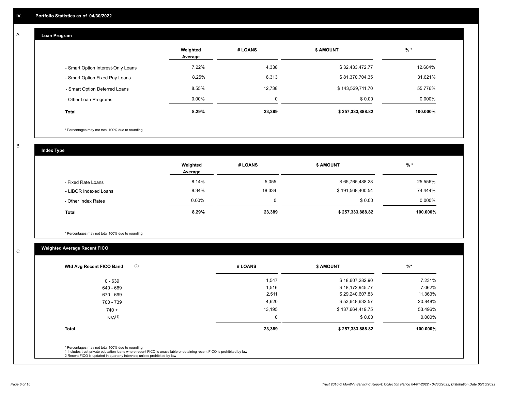## **Loan Program**

A

|                                    | Weighted<br>Average | # LOANS  | <b>\$ AMOUNT</b> | $%$ *    |
|------------------------------------|---------------------|----------|------------------|----------|
| - Smart Option Interest-Only Loans | 7.22%               | 4,338    | \$32,433,472.77  | 12.604%  |
| - Smart Option Fixed Pay Loans     | 8.25%               | 6,313    | \$81,370,704.35  | 31.621%  |
| - Smart Option Deferred Loans      | 8.55%               | 12.738   | \$143,529,711.70 | 55.776%  |
| - Other Loan Programs              | $0.00\%$            | $\Omega$ | \$0.00           | 0.000%   |
| <b>Total</b>                       | 8.29%               | 23,389   | \$257,333,888.82 | 100.000% |

\* Percentages may not total 100% due to rounding

B

C

**Index Type**

|                       | Weighted<br>Average | # LOANS  | <b>\$ AMOUNT</b> | % *       |
|-----------------------|---------------------|----------|------------------|-----------|
| - Fixed Rate Loans    | 8.14%               | 5,055    | \$65,765,488.28  | 25.556%   |
| - LIBOR Indexed Loans | 8.34%               | 18.334   | \$191,568,400.54 | 74.444%   |
| - Other Index Rates   | $0.00\%$            | $\Omega$ | \$0.00           | $0.000\%$ |
| Total                 | 8.29%               | 23,389   | \$257,333,888.82 | 100.000%  |

\* Percentages may not total 100% due to rounding

## **Weighted Average Recent FICO**

| (2)<br>Wtd Avg Recent FICO Band                  | # LOANS  | <b>\$ AMOUNT</b> | %         |
|--------------------------------------------------|----------|------------------|-----------|
| $0 - 639$                                        | 1,547    | \$18,607,282.90  | 7.231%    |
| 640 - 669                                        | 1,516    | \$18,172,945.77  | 7.062%    |
| 670 - 699                                        | 2,511    | \$29,240,607.83  | 11.363%   |
| 700 - 739                                        | 4,620    | \$53,648,632.57  | 20.848%   |
| $740 +$                                          | 13,195   | \$137,664,419.75 | 53.496%   |
| $N/A^{(1)}$                                      | $\Omega$ | \$0.00           | $0.000\%$ |
| <b>Total</b>                                     | 23,389   | \$257,333,888.82 | 100.000%  |
| * Percentages may not total 100% due to rounding |          |                  |           |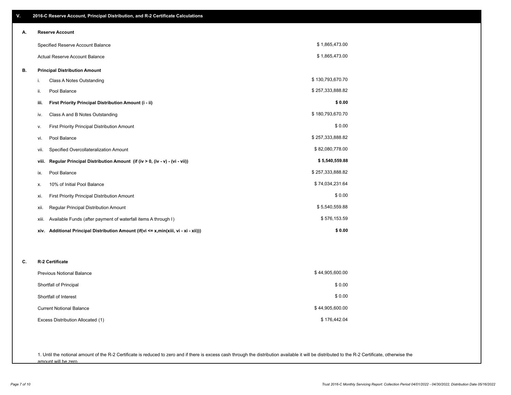| ٧.                           | 2016-C Reserve Account, Principal Distribution, and R-2 Certificate Calculations     |                  |  |  |  |
|------------------------------|--------------------------------------------------------------------------------------|------------------|--|--|--|
| А.                           | <b>Reserve Account</b>                                                               |                  |  |  |  |
|                              | Specified Reserve Account Balance                                                    | \$1,865,473.00   |  |  |  |
|                              | Actual Reserve Account Balance                                                       | \$1,865,473.00   |  |  |  |
| В.                           | <b>Principal Distribution Amount</b>                                                 |                  |  |  |  |
|                              | Class A Notes Outstanding<br>i.                                                      | \$130,793,670.70 |  |  |  |
|                              | Pool Balance<br>ii.                                                                  | \$257,333,888.82 |  |  |  |
|                              | First Priority Principal Distribution Amount (i - ii)<br>iii.                        | \$0.00           |  |  |  |
|                              | Class A and B Notes Outstanding<br>iv.                                               | \$180,793,670.70 |  |  |  |
|                              | <b>First Priority Principal Distribution Amount</b><br>ν.                            | \$0.00           |  |  |  |
|                              | Pool Balance<br>vi.                                                                  | \$257,333,888.82 |  |  |  |
|                              | Specified Overcollateralization Amount<br>vii.                                       | \$82,080,778.00  |  |  |  |
|                              | Regular Principal Distribution Amount (if (iv > 0, (iv - v) - (vi - vii))<br>viii.   | \$5,540,559.88   |  |  |  |
|                              | Pool Balance<br>ix.                                                                  | \$257,333,888.82 |  |  |  |
|                              | 10% of Initial Pool Balance<br>х.                                                    | \$74,034,231.64  |  |  |  |
|                              | xi.<br><b>First Priority Principal Distribution Amount</b>                           | \$0.00           |  |  |  |
|                              | Regular Principal Distribution Amount<br>xii.                                        | \$5,540,559.88   |  |  |  |
|                              | Available Funds (after payment of waterfall items A through I)<br>xiii.              | \$576,153.59     |  |  |  |
|                              | xiv. Additional Principal Distribution Amount (if(vi <= x,min(xiii, vi - xi - xii))) | \$0.00           |  |  |  |
|                              |                                                                                      |                  |  |  |  |
| <b>R-2 Certificate</b><br>C. |                                                                                      |                  |  |  |  |
|                              | Previous Notional Balance                                                            | \$44,905,600.00  |  |  |  |
|                              | Shortfall of Principal                                                               | \$0.00           |  |  |  |
|                              | Shortfall of Interest                                                                | \$0.00           |  |  |  |
|                              | <b>Current Notional Balance</b>                                                      | \$44,905,600.00  |  |  |  |
|                              | Excess Distribution Allocated (1)                                                    | \$176,442.04     |  |  |  |
|                              |                                                                                      |                  |  |  |  |

1. Until the notional amount of the R-2 Certificate is reduced to zero and if there is excess cash through the distribution available it will be distributed to the R-2 Certificate, otherwise the amount will be zero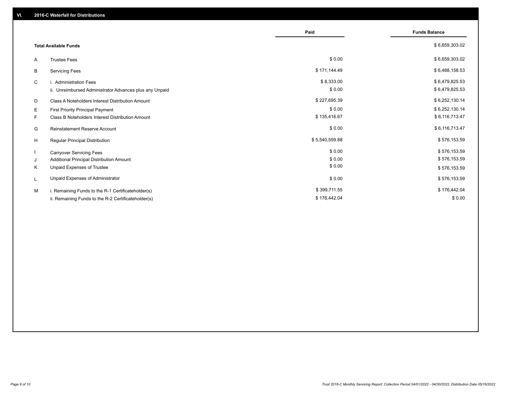|    |                                                         | Paid           | <b>Funds Balance</b> |
|----|---------------------------------------------------------|----------------|----------------------|
|    | <b>Total Available Funds</b>                            |                | \$6,659,303.02       |
| A  | <b>Trustee Fees</b>                                     | \$0.00         | \$6,659,303.02       |
| В  | <b>Servicing Fees</b>                                   | \$171,144.49   | \$6,488,158.53       |
| C  | i. Administration Fees                                  | \$8,333.00     | \$6,479,825.53       |
|    | ii. Unreimbursed Administrator Advances plus any Unpaid | \$0.00         | \$6,479,825.53       |
| D  | Class A Noteholders Interest Distribution Amount        | \$227,695.39   | \$6,252,130.14       |
| Е  | <b>First Priority Principal Payment</b>                 | \$0.00         | \$6,252,130.14       |
| F. | Class B Noteholders Interest Distribution Amount        | \$135,416.67   | \$6,116,713.47       |
| G  | <b>Reinstatement Reserve Account</b>                    | \$0.00         | \$6,116,713.47       |
| H  | Regular Principal Distribution                          | \$5,540,559.88 | \$576,153.59         |
|    | <b>Carryover Servicing Fees</b>                         | \$0.00         | \$576,153.59         |
| J  | Additional Principal Distribution Amount                | \$0.00         | \$576,153.59         |
| Κ  | Unpaid Expenses of Trustee                              | \$0.00         | \$576,153.59         |
| L  | Unpaid Expenses of Administrator                        | \$0.00         | \$576,153.59         |
| м  | i. Remaining Funds to the R-1 Certificateholder(s)      | \$399,711.55   | \$176,442.04         |
|    | ii. Remaining Funds to the R-2 Certificateholder(s)     | \$176,442.04   | \$0.00               |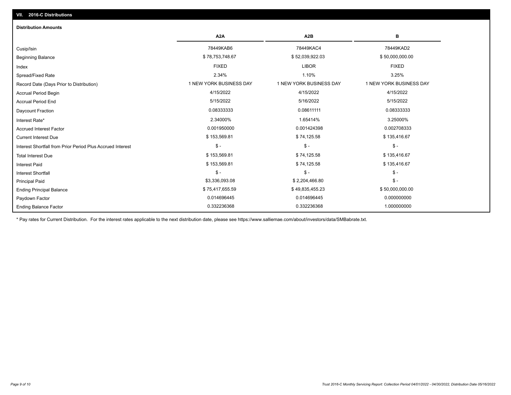## Ending Balance Factor Paydown Factor 0.014696445 0.014696445 0.000000000 Ending Principal Balance \$ 75,417,655.59 \$ \$ 49,835,455.23 \$ \$ 49,836,900,000.00 \$ \$ 50,000,000.00 Principal Paid \$3,336,093.08 \$ 2,204,466.80 \$ - \$ - \$ - \$ - Interest Shortfall \$ 153,569.81 \$ 74,125.58 \$ 135,416.67 Interest Paid Total Interest Due \$ 153,569.81 \$ 74,125.58 \$ 753,569.81 \$ 74,125.58 \$ 753,569.81 \$ 74,125.58 \$ - \$ - \$ - Interest Shortfall from Prior Period Plus Accrued Interest Current Interest Due \$ 153,569.81 \$ 74,125.58 \$ 135,416.67 Accrued Interest Factor **2.0002708333** 0.001950000 0.001950000 0.001424398 0.001424398 0.002708333 Interest Rate\* 2.34000% 1.65414% 3.25000% Daycount Fraction 0.08333333 0.08611111 0.08333333 Accrual Period End 5/15/2022 5/16/2022 5/15/2022 Accrual Period Begin 4/15/2022 4/15/2022 4/15/2022 Record Date (Days Prior to Distribution) **1 NEW YORK BUSINESS DAY** 1 NEW YORK BUSINESS DAY 1 NEW YORK BUSINESS DAY Spread/Fixed Rate 2.34% 1.10% 3.25% Index FIXED LIBOR FIXED Beginning Balance \$ 78,753,748.67 \$ \$ 52,039,922.03 \$ 52,039,922.03 \$ \$ 50,000,000.00 \$ \$ 50,000,000.00 \$ \$ 50,000,000 Cusip/Isin 78449KAB6 78449KAC4 78449KAD2 **A2A A2B B** 0.332236368 0.332236368 1.000000000 **Distribution Amounts**

\* Pay rates for Current Distribution. For the interest rates applicable to the next distribution date, please see https://www.salliemae.com/about/investors/data/SMBabrate.txt.

**VII. 2016-C Distributions**